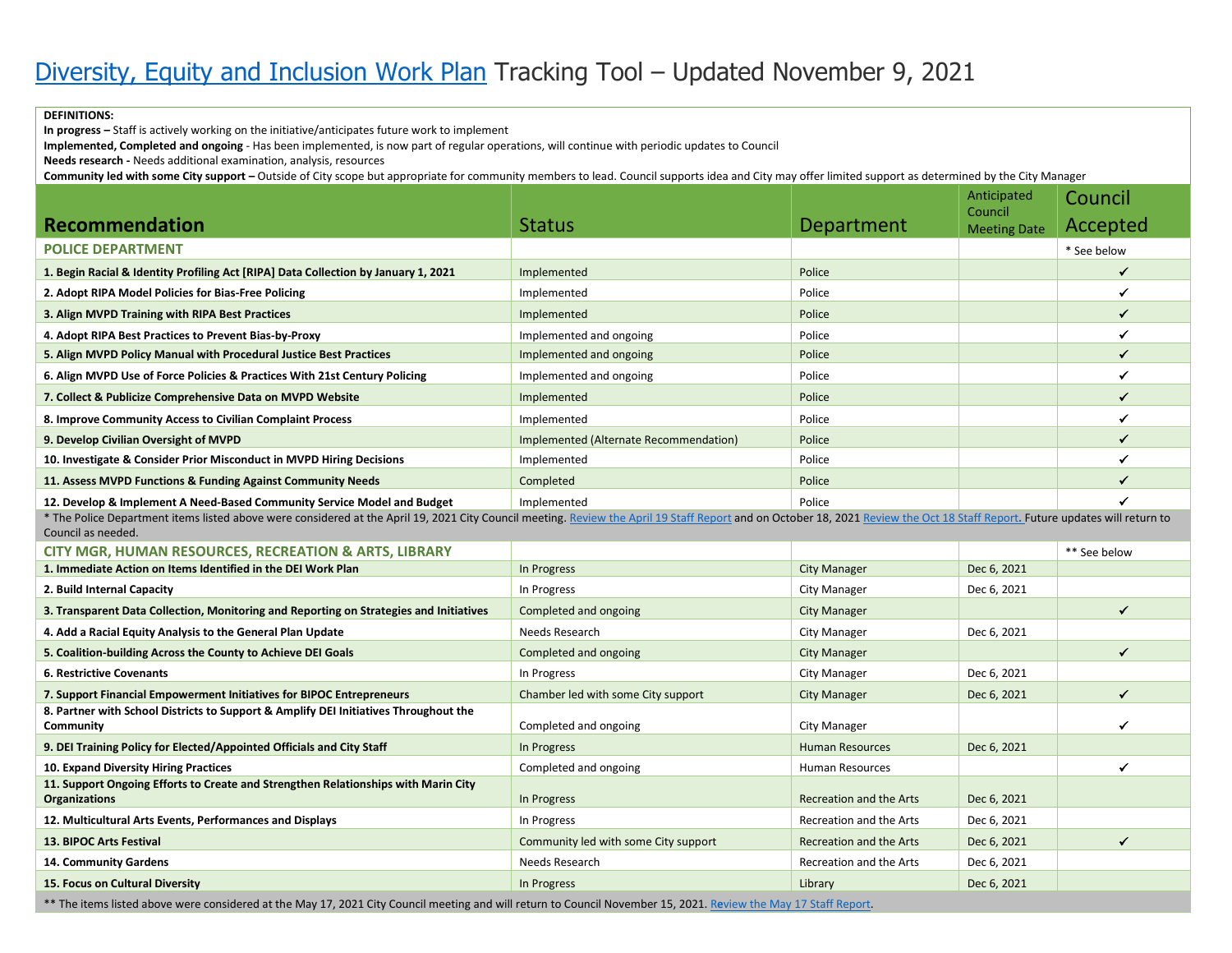## **DEFINITIONS:**

**In progress –** Staff is actively working on the initiative/anticipates future work to implement

**Implemented, Completed and ongoing** - Has been implemented, is now part of regular operations, will continue with periodic updates to Council

**Needs research -** Needs additional examination, analysis, resources

**Community led with some City support –** Outside of City scope but appropriate for community members to lead. Council supports idea and City may offer limited support as determined by the City Manager

|                                                                                                                                                                                                                                                     |                                        |                                | Anticipated<br>Council | Council      |  |  |
|-----------------------------------------------------------------------------------------------------------------------------------------------------------------------------------------------------------------------------------------------------|----------------------------------------|--------------------------------|------------------------|--------------|--|--|
| <b>Recommendation</b>                                                                                                                                                                                                                               | <b>Status</b>                          | Department                     | <b>Meeting Date</b>    | Accepted     |  |  |
| <b>POLICE DEPARTMENT</b>                                                                                                                                                                                                                            |                                        |                                |                        | * See below  |  |  |
| 1. Begin Racial & Identity Profiling Act [RIPA] Data Collection by January 1, 2021                                                                                                                                                                  | Implemented                            | Police                         |                        | $\checkmark$ |  |  |
| 2. Adopt RIPA Model Policies for Bias-Free Policing                                                                                                                                                                                                 | Implemented                            | Police                         |                        | $\checkmark$ |  |  |
| 3. Align MVPD Training with RIPA Best Practices                                                                                                                                                                                                     | Implemented                            | Police                         |                        | $\checkmark$ |  |  |
| 4. Adopt RIPA Best Practices to Prevent Bias-by-Proxy                                                                                                                                                                                               | Implemented and ongoing                | Police                         |                        | $\checkmark$ |  |  |
| 5. Align MVPD Policy Manual with Procedural Justice Best Practices                                                                                                                                                                                  | Implemented and ongoing                | Police                         |                        | $\checkmark$ |  |  |
| 6. Align MVPD Use of Force Policies & Practices With 21st Century Policing                                                                                                                                                                          | Implemented and ongoing                | Police                         |                        | $\checkmark$ |  |  |
| 7. Collect & Publicize Comprehensive Data on MVPD Website                                                                                                                                                                                           | Implemented                            | Police                         |                        | $\checkmark$ |  |  |
| 8. Improve Community Access to Civilian Complaint Process                                                                                                                                                                                           | Implemented                            | Police                         |                        | $\checkmark$ |  |  |
| 9. Develop Civilian Oversight of MVPD                                                                                                                                                                                                               | Implemented (Alternate Recommendation) | Police                         |                        | $\checkmark$ |  |  |
| 10. Investigate & Consider Prior Misconduct in MVPD Hiring Decisions                                                                                                                                                                                | Implemented                            | Police                         |                        | $\checkmark$ |  |  |
| 11. Assess MVPD Functions & Funding Against Community Needs                                                                                                                                                                                         | Completed                              | Police                         |                        | ✓            |  |  |
| 12. Develop & Implement A Need-Based Community Service Model and Budget                                                                                                                                                                             | Implemented                            | Police                         |                        | ✔            |  |  |
| * The Police Department items listed above were considered at the April 19, 2021 City Council meeting. Review the April 19 Staff Report and on October 18, 2021 Review the Oct 18 Staff Report. Future updates will return to<br>Council as needed. |                                        |                                |                        |              |  |  |
| <b>CITY MGR, HUMAN RESOURCES, RECREATION &amp; ARTS, LIBRARY</b>                                                                                                                                                                                    |                                        |                                |                        | ** See below |  |  |
| 1. Immediate Action on Items Identified in the DEI Work Plan                                                                                                                                                                                        | In Progress                            | <b>City Manager</b>            | Dec 6, 2021            |              |  |  |
| 2. Build Internal Capacity                                                                                                                                                                                                                          | In Progress                            | <b>City Manager</b>            | Dec 6, 2021            |              |  |  |
| 3. Transparent Data Collection, Monitoring and Reporting on Strategies and Initiatives                                                                                                                                                              | Completed and ongoing                  | <b>City Manager</b>            |                        | $\checkmark$ |  |  |
| 4. Add a Racial Equity Analysis to the General Plan Update                                                                                                                                                                                          | Needs Research                         | <b>City Manager</b>            | Dec 6, 2021            |              |  |  |
| 5. Coalition-building Across the County to Achieve DEI Goals                                                                                                                                                                                        | Completed and ongoing                  | <b>City Manager</b>            |                        | $\checkmark$ |  |  |
| <b>6. Restrictive Covenants</b>                                                                                                                                                                                                                     | In Progress                            | <b>City Manager</b>            | Dec 6, 2021            |              |  |  |
| 7. Support Financial Empowerment Initiatives for BIPOC Entrepreneurs                                                                                                                                                                                | Chamber led with some City support     | <b>City Manager</b>            | Dec 6, 2021            | $\checkmark$ |  |  |
| 8. Partner with School Districts to Support & Amplify DEI Initiatives Throughout the<br>Community                                                                                                                                                   | Completed and ongoing                  | <b>City Manager</b>            |                        | $\checkmark$ |  |  |
| 9. DEI Training Policy for Elected/Appointed Officials and City Staff                                                                                                                                                                               | In Progress                            | <b>Human Resources</b>         | Dec 6, 2021            |              |  |  |
| 10. Expand Diversity Hiring Practices                                                                                                                                                                                                               | Completed and ongoing                  | <b>Human Resources</b>         |                        | $\checkmark$ |  |  |
| 11. Support Ongoing Efforts to Create and Strengthen Relationships with Marin City<br><b>Organizations</b>                                                                                                                                          | In Progress                            | <b>Recreation and the Arts</b> | Dec 6, 2021            |              |  |  |
| 12. Multicultural Arts Events, Performances and Displays                                                                                                                                                                                            | In Progress                            | Recreation and the Arts        | Dec 6, 2021            |              |  |  |
| 13. BIPOC Arts Festival                                                                                                                                                                                                                             | Community led with some City support   | Recreation and the Arts        | Dec 6, 2021            | $\checkmark$ |  |  |
| 14. Community Gardens                                                                                                                                                                                                                               | Needs Research                         | Recreation and the Arts        | Dec 6, 2021            |              |  |  |
| 15. Focus on Cultural Diversity                                                                                                                                                                                                                     | In Progress                            | Library                        | Dec 6, 2021            |              |  |  |
| ** The items listed above were considered at the May 17, 2021 City Council meeting and will return to Council November 15, 2021. Review the May 17 Staff Report.                                                                                    |                                        |                                |                        |              |  |  |